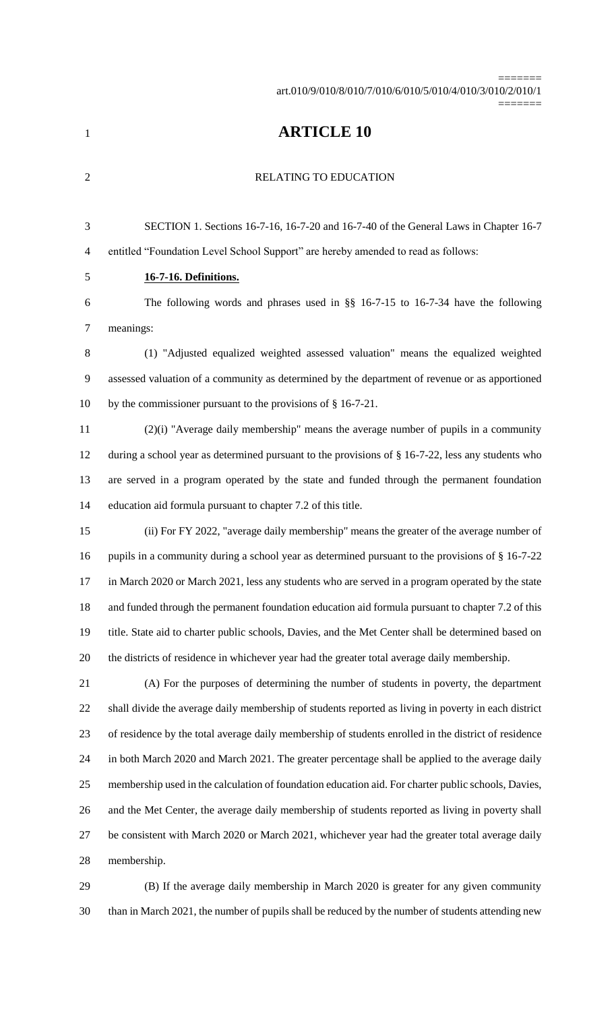art.010/9/010/8/010/7/010/6/010/5/010/4/010/3/010/2/010/1

=======

=======

## **ARTICLE 10**

#### 2 RELATING TO EDUCATION

 SECTION 1. Sections 16-7-16, 16-7-20 and 16-7-40 of the General Laws in Chapter 16-7 entitled "Foundation Level School Support" are hereby amended to read as follows:

# **16-7-16. Definitions.**

 The following words and phrases used in §§ 16-7-15 to 16-7-34 have the following meanings:

 (1) "Adjusted equalized weighted assessed valuation" means the equalized weighted assessed valuation of a community as determined by the department of revenue or as apportioned by the commissioner pursuant to the provisions of § 16-7-21.

 (2)(i) "Average daily membership" means the average number of pupils in a community during a school year as determined pursuant to the provisions of § 16-7-22, less any students who are served in a program operated by the state and funded through the permanent foundation education aid formula pursuant to chapter 7.2 of this title.

 (ii) For FY 2022, "average daily membership" means the greater of the average number of 16 pupils in a community during a school year as determined pursuant to the provisions of § 16-7-22 in March 2020 or March 2021, less any students who are served in a program operated by the state 18 and funded through the permanent foundation education aid formula pursuant to chapter 7.2 of this title. State aid to charter public schools, Davies, and the Met Center shall be determined based on the districts of residence in whichever year had the greater total average daily membership.

 (A) For the purposes of determining the number of students in poverty, the department shall divide the average daily membership of students reported as living in poverty in each district of residence by the total average daily membership of students enrolled in the district of residence in both March 2020 and March 2021. The greater percentage shall be applied to the average daily membership used in the calculation of foundation education aid. For charter public schools, Davies, and the Met Center, the average daily membership of students reported as living in poverty shall be consistent with March 2020 or March 2021, whichever year had the greater total average daily membership.

 (B) If the average daily membership in March 2020 is greater for any given community than in March 2021, the number of pupils shall be reduced by the number of students attending new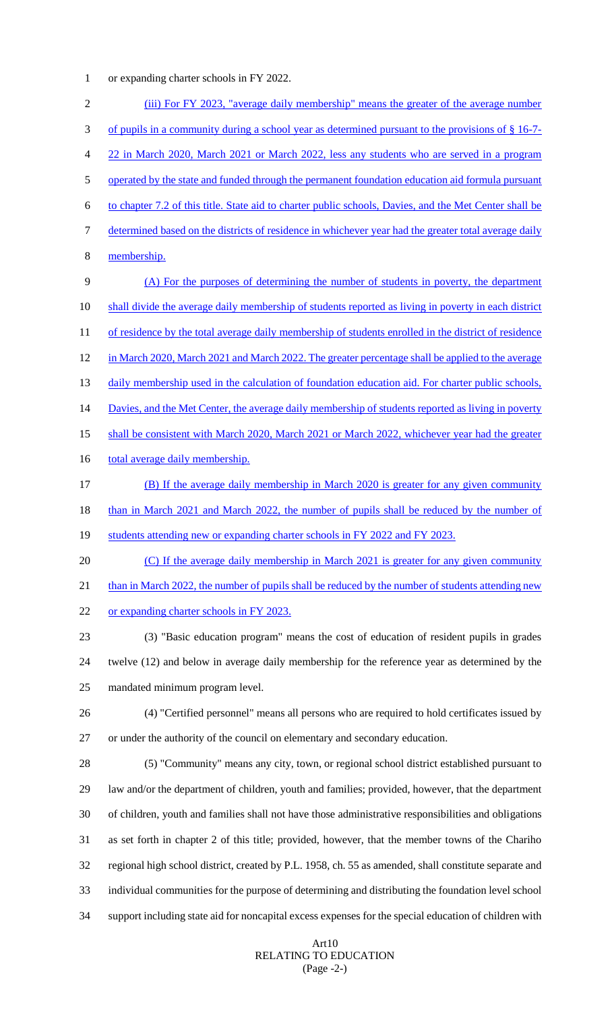1 or expanding charter schools in FY 2022.

| $\mathbf{2}$     | (iii) For FY 2023, "average daily membership" means the greater of the average number                  |
|------------------|--------------------------------------------------------------------------------------------------------|
| 3                | of pupils in a community during a school year as determined pursuant to the provisions of § 16-7-      |
| 4                | 22 in March 2020, March 2021 or March 2022, less any students who are served in a program              |
| 5                | operated by the state and funded through the permanent foundation education aid formula pursuant       |
| 6                | to chapter 7.2 of this title. State aid to charter public schools, Davies, and the Met Center shall be |
| $\boldsymbol{7}$ | determined based on the districts of residence in whichever year had the greater total average daily   |
| $8\,$            | membership.                                                                                            |
| 9                | (A) For the purposes of determining the number of students in poverty, the department                  |
| 10               | shall divide the average daily membership of students reported as living in poverty in each district   |
| 11               | of residence by the total average daily membership of students enrolled in the district of residence   |
| 12               | in March 2020, March 2021 and March 2022. The greater percentage shall be applied to the average       |
| 13               | daily membership used in the calculation of foundation education aid. For charter public schools,      |
| 14               | Davies, and the Met Center, the average daily membership of students reported as living in poverty     |
| 15               | shall be consistent with March 2020, March 2021 or March 2022, whichever year had the greater          |
| 16               | total average daily membership.                                                                        |
| 17               | (B) If the average daily membership in March 2020 is greater for any given community                   |
| 18               | than in March 2021 and March 2022, the number of pupils shall be reduced by the number of              |
| 19               | students attending new or expanding charter schools in FY 2022 and FY 2023.                            |
| 20               | (C) If the average daily membership in March 2021 is greater for any given community                   |
| 21               | than in March 2022, the number of pupils shall be reduced by the number of students attending new      |
| 22               | or expanding charter schools in FY 2023.                                                               |
| 23               | (3) "Basic education program" means the cost of education of resident pupils in grades                 |
| 24               | twelve (12) and below in average daily membership for the reference year as determined by the          |
| 25               | mandated minimum program level.                                                                        |
| 26               | (4) "Certified personnel" means all persons who are required to hold certificates issued by            |
| 27               | or under the authority of the council on elementary and secondary education.                           |
| 28               | (5) "Community" means any city, town, or regional school district established pursuant to              |
| 29               | law and/or the department of children, youth and families; provided, however, that the department      |
| 30               | of children, youth and families shall not have those administrative responsibilities and obligations   |
| 31               | as set forth in chapter 2 of this title; provided, however, that the member towns of the Chariho       |
| 32               | regional high school district, created by P.L. 1958, ch. 55 as amended, shall constitute separate and  |
| 33               | individual communities for the purpose of determining and distributing the foundation level school     |
| 34               | support including state aid for noncapital excess expenses for the special education of children with  |

## Art10 RELATING TO EDUCATION (Page -2-)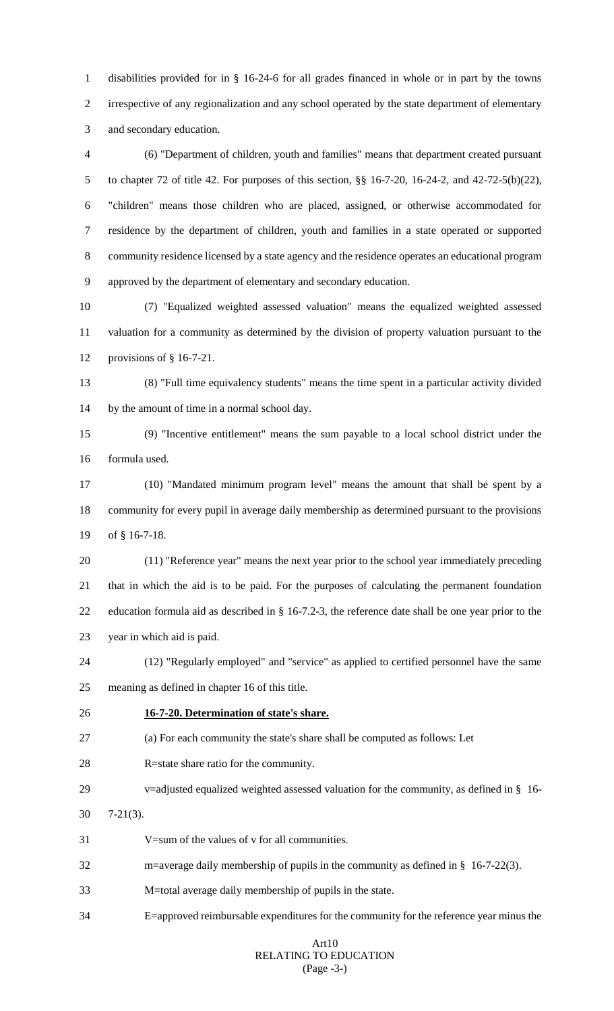disabilities provided for in § 16-24-6 for all grades financed in whole or in part by the towns irrespective of any regionalization and any school operated by the state department of elementary and secondary education.

 (6) "Department of children, youth and families" means that department created pursuant to chapter 72 of title 42. For purposes of this section, §§ 16-7-20, 16-24-2, and 42-72-5(b)(22), "children" means those children who are placed, assigned, or otherwise accommodated for residence by the department of children, youth and families in a state operated or supported community residence licensed by a state agency and the residence operates an educational program approved by the department of elementary and secondary education.

 (7) "Equalized weighted assessed valuation" means the equalized weighted assessed valuation for a community as determined by the division of property valuation pursuant to the provisions of § 16-7-21.

 (8) "Full time equivalency students" means the time spent in a particular activity divided by the amount of time in a normal school day.

 (9) "Incentive entitlement" means the sum payable to a local school district under the formula used.

 (10) "Mandated minimum program level" means the amount that shall be spent by a community for every pupil in average daily membership as determined pursuant to the provisions of § 16-7-18.

 (11) "Reference year" means the next year prior to the school year immediately preceding that in which the aid is to be paid. For the purposes of calculating the permanent foundation education formula aid as described in § 16-7.2-3, the reference date shall be one year prior to the year in which aid is paid.

 (12) "Regularly employed" and "service" as applied to certified personnel have the same meaning as defined in chapter 16 of this title.

## **16-7-20. Determination of state's share.**

(a) For each community the state's share shall be computed as follows: Let

- R=state share ratio for the community.
- v=adjusted equalized weighted assessed valuation for the community, as defined in § 16-
- 7-21(3).
- V=sum of the values of v for all communities.
- m=average daily membership of pupils in the community as defined in § 16-7-22(3).
- M=total average daily membership of pupils in the state.
- E=approved reimbursable expenditures for the community for the reference year minus the

## ArtRELATING TO EDUCATION (Page -3-)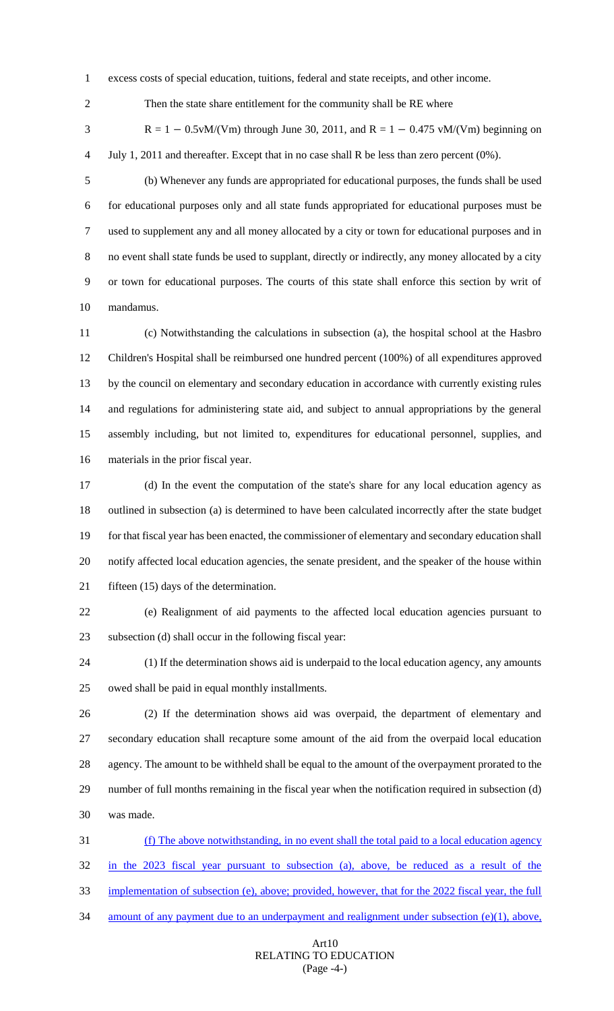excess costs of special education, tuitions, federal and state receipts, and other income.

Then the state share entitlement for the community shall be RE where

3 R = 1 – 0.5vM/(Vm) through June 30, 2011, and R = 1 – 0.475 vM/(Vm) beginning on July 1, 2011 and thereafter. Except that in no case shall R be less than zero percent (0%).

 (b) Whenever any funds are appropriated for educational purposes, the funds shall be used for educational purposes only and all state funds appropriated for educational purposes must be used to supplement any and all money allocated by a city or town for educational purposes and in no event shall state funds be used to supplant, directly or indirectly, any money allocated by a city or town for educational purposes. The courts of this state shall enforce this section by writ of mandamus.

 (c) Notwithstanding the calculations in subsection (a), the hospital school at the Hasbro Children's Hospital shall be reimbursed one hundred percent (100%) of all expenditures approved by the council on elementary and secondary education in accordance with currently existing rules and regulations for administering state aid, and subject to annual appropriations by the general assembly including, but not limited to, expenditures for educational personnel, supplies, and materials in the prior fiscal year.

 (d) In the event the computation of the state's share for any local education agency as outlined in subsection (a) is determined to have been calculated incorrectly after the state budget for that fiscal year has been enacted, the commissioner of elementary and secondary education shall notify affected local education agencies, the senate president, and the speaker of the house within 21 fifteen (15) days of the determination.

 (e) Realignment of aid payments to the affected local education agencies pursuant to subsection (d) shall occur in the following fiscal year:

 (1) If the determination shows aid is underpaid to the local education agency, any amounts owed shall be paid in equal monthly installments.

 (2) If the determination shows aid was overpaid, the department of elementary and secondary education shall recapture some amount of the aid from the overpaid local education agency. The amount to be withheld shall be equal to the amount of the overpayment prorated to the number of full months remaining in the fiscal year when the notification required in subsection (d) was made.

 (f) The above notwithstanding, in no event shall the total paid to a local education agency in the 2023 fiscal year pursuant to subsection (a), above, be reduced as a result of the implementation of subsection (e), above; provided, however, that for the 2022 fiscal year, the full amount of any payment due to an underpayment and realignment under subsection (e)(1), above,

## ArtRELATING TO EDUCATION (Page -4-)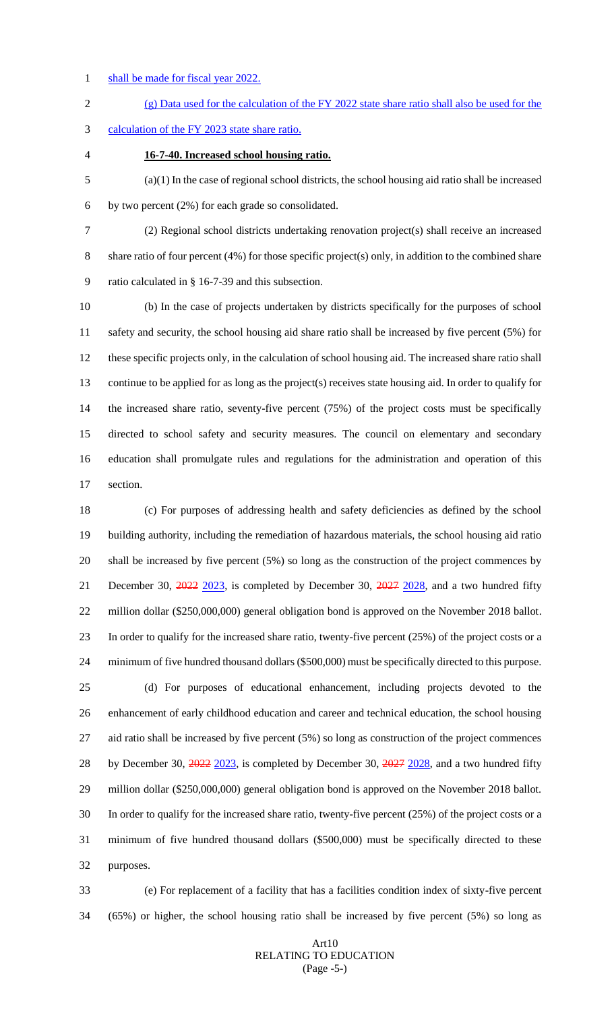1 shall be made for fiscal year 2022.

 (g) Data used for the calculation of the FY 2022 state share ratio shall also be used for the calculation of the FY 2023 state share ratio.

**16-7-40. Increased school housing ratio.**

 (a)(1) In the case of regional school districts, the school housing aid ratio shall be increased by two percent (2%) for each grade so consolidated.

 (2) Regional school districts undertaking renovation project(s) shall receive an increased share ratio of four percent (4%) for those specific project(s) only, in addition to the combined share ratio calculated in § 16-7-39 and this subsection.

 (b) In the case of projects undertaken by districts specifically for the purposes of school safety and security, the school housing aid share ratio shall be increased by five percent (5%) for these specific projects only, in the calculation of school housing aid. The increased share ratio shall continue to be applied for as long as the project(s) receives state housing aid. In order to qualify for the increased share ratio, seventy-five percent (75%) of the project costs must be specifically directed to school safety and security measures. The council on elementary and secondary education shall promulgate rules and regulations for the administration and operation of this section.

 (c) For purposes of addressing health and safety deficiencies as defined by the school building authority, including the remediation of hazardous materials, the school housing aid ratio shall be increased by five percent (5%) so long as the construction of the project commences by 21 December 30, 2022 2023, is completed by December 30, 2027 2028, and a two hundred fifty million dollar (\$250,000,000) general obligation bond is approved on the November 2018 ballot. In order to qualify for the increased share ratio, twenty-five percent (25%) of the project costs or a minimum of five hundred thousand dollars (\$500,000) must be specifically directed to this purpose. (d) For purposes of educational enhancement, including projects devoted to the enhancement of early childhood education and career and technical education, the school housing aid ratio shall be increased by five percent (5%) so long as construction of the project commences 28 by December 30, 2022 2023, is completed by December 30, 2027 2028, and a two hundred fifty million dollar (\$250,000,000) general obligation bond is approved on the November 2018 ballot. In order to qualify for the increased share ratio, twenty-five percent (25%) of the project costs or a minimum of five hundred thousand dollars (\$500,000) must be specifically directed to these purposes.

 (e) For replacement of a facility that has a facilities condition index of sixty-five percent (65%) or higher, the school housing ratio shall be increased by five percent (5%) so long as

## ArtRELATING TO EDUCATION (Page -5-)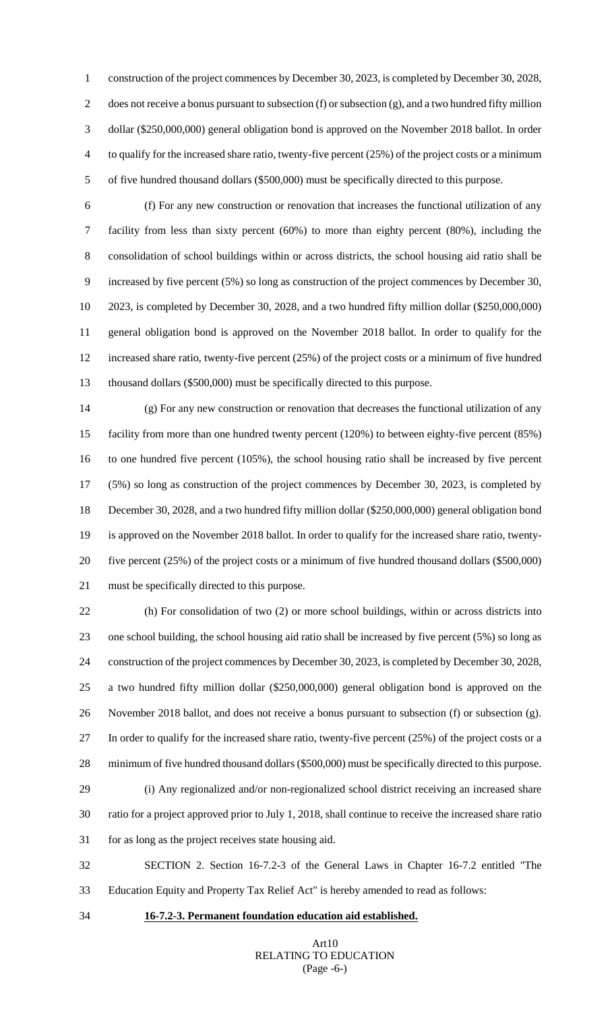construction of the project commences by December 30, 2023, is completed by December 30, 2028, does not receive a bonus pursuant to subsection (f) or subsection (g), and a two hundred fifty million dollar (\$250,000,000) general obligation bond is approved on the November 2018 ballot. In order to qualify for the increased share ratio, twenty-five percent (25%) of the project costs or a minimum of five hundred thousand dollars (\$500,000) must be specifically directed to this purpose.

 (f) For any new construction or renovation that increases the functional utilization of any facility from less than sixty percent (60%) to more than eighty percent (80%), including the consolidation of school buildings within or across districts, the school housing aid ratio shall be increased by five percent (5%) so long as construction of the project commences by December 30, 2023, is completed by December 30, 2028, and a two hundred fifty million dollar (\$250,000,000) general obligation bond is approved on the November 2018 ballot. In order to qualify for the increased share ratio, twenty-five percent (25%) of the project costs or a minimum of five hundred thousand dollars (\$500,000) must be specifically directed to this purpose.

 (g) For any new construction or renovation that decreases the functional utilization of any facility from more than one hundred twenty percent (120%) to between eighty-five percent (85%) to one hundred five percent (105%), the school housing ratio shall be increased by five percent (5%) so long as construction of the project commences by December 30, 2023, is completed by December 30, 2028, and a two hundred fifty million dollar (\$250,000,000) general obligation bond is approved on the November 2018 ballot. In order to qualify for the increased share ratio, twenty- five percent (25%) of the project costs or a minimum of five hundred thousand dollars (\$500,000) must be specifically directed to this purpose.

 (h) For consolidation of two (2) or more school buildings, within or across districts into one school building, the school housing aid ratio shall be increased by five percent (5%) so long as construction of the project commences by December 30, 2023, is completed by December 30, 2028, a two hundred fifty million dollar (\$250,000,000) general obligation bond is approved on the November 2018 ballot, and does not receive a bonus pursuant to subsection (f) or subsection (g). In order to qualify for the increased share ratio, twenty-five percent (25%) of the project costs or a minimum of five hundred thousand dollars (\$500,000) must be specifically directed to this purpose. (i) Any regionalized and/or non-regionalized school district receiving an increased share ratio for a project approved prior to July 1, 2018, shall continue to receive the increased share ratio

for as long as the project receives state housing aid.

 SECTION 2. Section 16-7.2-3 of the General Laws in Chapter 16-7.2 entitled "The Education Equity and Property Tax Relief Act" is hereby amended to read as follows:

## **16-7.2-3. Permanent foundation education aid established.**

## ArtRELATING TO EDUCATION (Page -6-)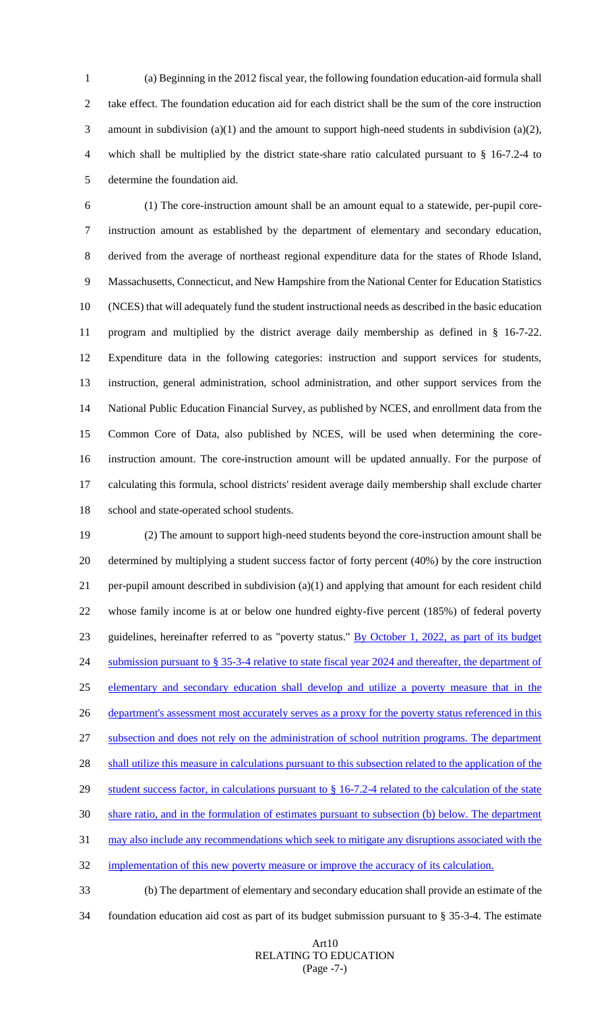(a) Beginning in the 2012 fiscal year, the following foundation education-aid formula shall take effect. The foundation education aid for each district shall be the sum of the core instruction amount in subdivision (a)(1) and the amount to support high-need students in subdivision (a)(2), which shall be multiplied by the district state-share ratio calculated pursuant to § 16-7.2-4 to determine the foundation aid.

 (1) The core-instruction amount shall be an amount equal to a statewide, per-pupil core- instruction amount as established by the department of elementary and secondary education, derived from the average of northeast regional expenditure data for the states of Rhode Island, Massachusetts, Connecticut, and New Hampshire from the National Center for Education Statistics (NCES) that will adequately fund the student instructional needs as described in the basic education program and multiplied by the district average daily membership as defined in § 16-7-22. Expenditure data in the following categories: instruction and support services for students, instruction, general administration, school administration, and other support services from the National Public Education Financial Survey, as published by NCES, and enrollment data from the Common Core of Data, also published by NCES, will be used when determining the core- instruction amount. The core-instruction amount will be updated annually. For the purpose of calculating this formula, school districts' resident average daily membership shall exclude charter school and state-operated school students.

 (2) The amount to support high-need students beyond the core-instruction amount shall be determined by multiplying a student success factor of forty percent (40%) by the core instruction per-pupil amount described in subdivision (a)(1) and applying that amount for each resident child whose family income is at or below one hundred eighty-five percent (185%) of federal poverty guidelines, hereinafter referred to as "poverty status." By October 1, 2022, as part of its budget 24 submission pursuant to § 35-3-4 relative to state fiscal year 2024 and thereafter, the department of elementary and secondary education shall develop and utilize a poverty measure that in the 26 department's assessment most accurately serves as a proxy for the poverty status referenced in this subsection and does not rely on the administration of school nutrition programs. The department 28 shall utilize this measure in calculations pursuant to this subsection related to the application of the 29 student success factor, in calculations pursuant to § 16-7.2-4 related to the calculation of the state share ratio, and in the formulation of estimates pursuant to subsection (b) below. The department may also include any recommendations which seek to mitigate any disruptions associated with the 32 implementation of this new poverty measure or improve the accuracy of its calculation.

 (b) The department of elementary and secondary education shall provide an estimate of the foundation education aid cost as part of its budget submission pursuant to § 35-3-4. The estimate

## ArtRELATING TO EDUCATION (Page -7-)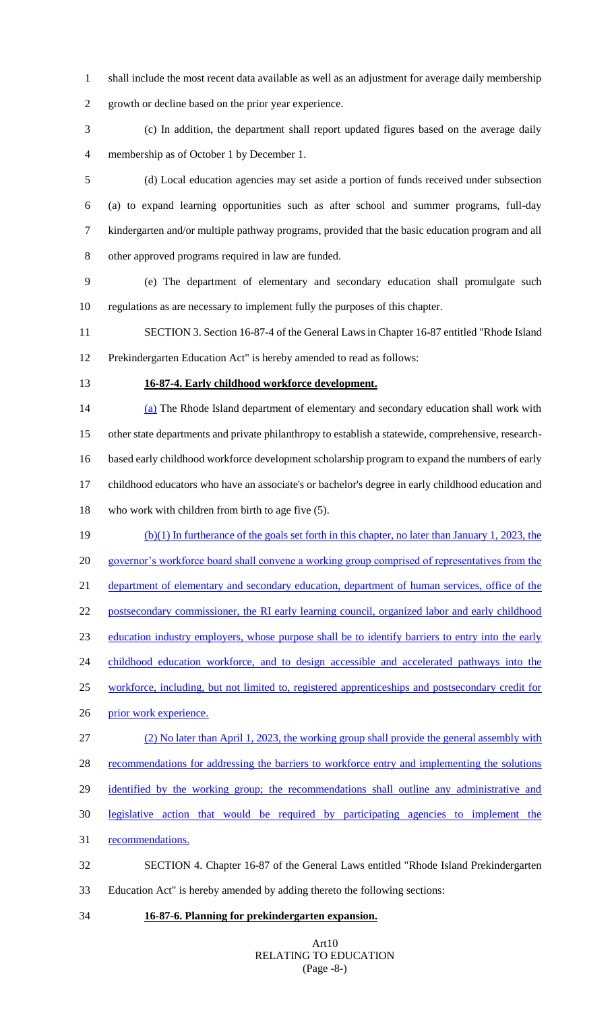shall include the most recent data available as well as an adjustment for average daily membership

growth or decline based on the prior year experience.

- (c) In addition, the department shall report updated figures based on the average daily membership as of October 1 by December 1.
- (d) Local education agencies may set aside a portion of funds received under subsection (a) to expand learning opportunities such as after school and summer programs, full-day kindergarten and/or multiple pathway programs, provided that the basic education program and all other approved programs required in law are funded.
- (e) The department of elementary and secondary education shall promulgate such regulations as are necessary to implement fully the purposes of this chapter.
- SECTION 3. Section 16-87-4 of the General Laws in Chapter 16-87 entitled "Rhode Island Prekindergarten Education Act" is hereby amended to read as follows:
- 

#### **16-87-4. Early childhood workforce development.**

 (a) The Rhode Island department of elementary and secondary education shall work with other state departments and private philanthropy to establish a statewide, comprehensive, research- based early childhood workforce development scholarship program to expand the numbers of early childhood educators who have an associate's or bachelor's degree in early childhood education and who work with children from birth to age five (5).

- (b)(1) In furtherance of the goals set forth in this chapter, no later than January 1, 2023, the governor's workforce board shall convene a working group comprised of representatives from the 21 department of elementary and secondary education, department of human services, office of the 22 postsecondary commissioner, the RI early learning council, organized labor and early childhood education industry employers, whose purpose shall be to identify barriers to entry into the early 24 childhood education workforce, and to design accessible and accelerated pathways into the workforce, including, but not limited to, registered apprenticeships and postsecondary credit for prior work experience.
- (2) No later than April 1, 2023, the working group shall provide the general assembly with 28 recommendations for addressing the barriers to workforce entry and implementing the solutions
- 29 identified by the working group; the recommendations shall outline any administrative and
- legislative action that would be required by participating agencies to implement the
- recommendations.
- SECTION 4. Chapter 16-87 of the General Laws entitled "Rhode Island Prekindergarten Education Act" is hereby amended by adding thereto the following sections:
- **16-87-6. Planning for prekindergarten expansion.**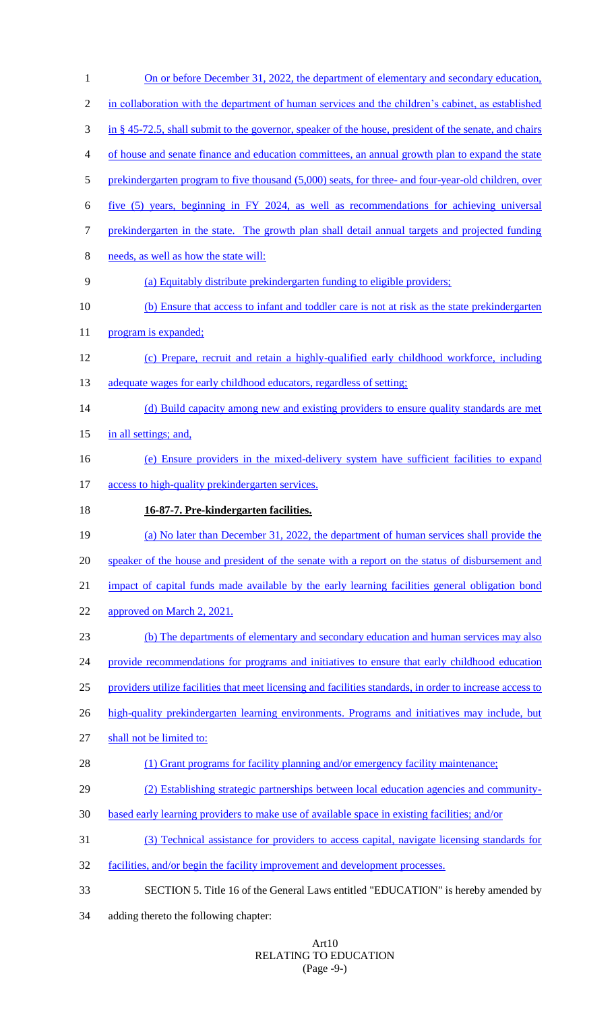| $\mathbf{1}$   | <u>On or before December 31, 2022, the department of elementary and secondary education,</u>              |
|----------------|-----------------------------------------------------------------------------------------------------------|
| $\overline{2}$ | in collaboration with the department of human services and the children's cabinet, as established         |
| 3              | in § 45-72.5, shall submit to the governor, speaker of the house, president of the senate, and chairs     |
| 4              | of house and senate finance and education committees, an annual growth plan to expand the state           |
| 5              | prekindergarten program to five thousand (5,000) seats, for three- and four-year-old children, over       |
| 6              | five (5) years, beginning in FY 2024, as well as recommendations for achieving universal                  |
| 7              | prekindergarten in the state. The growth plan shall detail annual targets and projected funding           |
| 8              | needs, as well as how the state will:                                                                     |
| 9              | (a) Equitably distribute prekindergarten funding to eligible providers;                                   |
| 10             | (b) Ensure that access to infant and toddler care is not at risk as the state prekinder garten            |
| 11             | program is expanded;                                                                                      |
| 12             | (c) Prepare, recruit and retain a highly-qualified early childhood workforce, including                   |
| 13             | adequate wages for early childhood educators, regardless of setting;                                      |
| 14             | (d) Build capacity among new and existing providers to ensure quality standards are met                   |
| 15             | in all settings; and,                                                                                     |
| 16             | (e) Ensure providers in the mixed-delivery system have sufficient facilities to expand                    |
| 17             | access to high-quality prekindergarten services.                                                          |
|                |                                                                                                           |
| 18             | 16-87-7. Pre-kindergarten facilities.                                                                     |
| 19             | (a) No later than December 31, 2022, the department of human services shall provide the                   |
| 20             | speaker of the house and president of the senate with a report on the status of disbursement and          |
| 21             | impact of capital funds made available by the early learning facilities general obligation bond           |
| 22             | approved on March 2, 2021.                                                                                |
| 23             | (b) The departments of elementary and secondary education and human services may also                     |
| 24             | provide recommendations for programs and initiatives to ensure that early childhood education             |
| 25             | providers utilize facilities that meet licensing and facilities standards, in order to increase access to |
| 26             | high-quality prekindergarten learning environments. Programs and initiatives may include, but             |
| 27             | shall not be limited to:                                                                                  |
| 28             | (1) Grant programs for facility planning and/or emergency facility maintenance;                           |
| 29             | (2) Establishing strategic partnerships between local education agencies and community-                   |
| 30             | based early learning providers to make use of available space in existing facilities; and/or              |
| 31             | (3) Technical assistance for providers to access capital, navigate licensing standards for                |
| 32             | facilities, and/or begin the facility improvement and development processes.                              |
| 33             | SECTION 5. Title 16 of the General Laws entitled "EDUCATION" is hereby amended by                         |

### Art10 RELATING TO EDUCATION (Page -9-)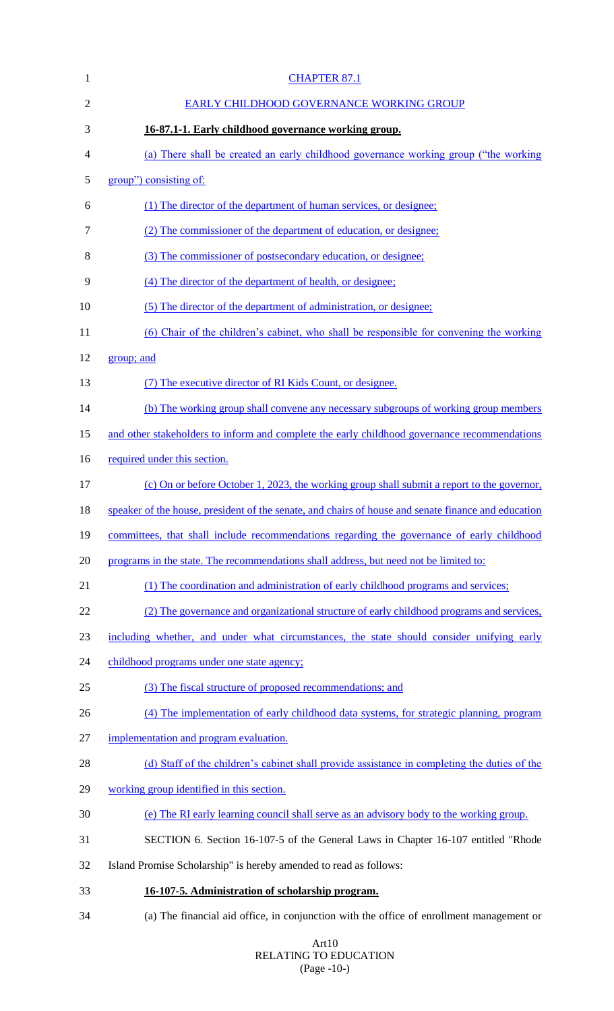| $\mathbf{1}$ | <b>CHAPTER 87.1</b>                                                                                 |
|--------------|-----------------------------------------------------------------------------------------------------|
| 2            | EARLY CHILDHOOD GOVERNANCE WORKING GROUP                                                            |
| 3            | 16-87.1-1. Early childhood governance working group.                                                |
| 4            | (a) There shall be created an early childhood governance working group ("the working"               |
| 5            | group") consisting of:                                                                              |
| 6            | (1) The director of the department of human services, or designee;                                  |
| 7            | (2) The commissioner of the department of education, or designee;                                   |
| 8            | (3) The commissioner of postsecondary education, or designee;                                       |
| 9            | (4) The director of the department of health, or designee;                                          |
| 10           | (5) The director of the department of administration, or designee;                                  |
| 11           | (6) Chair of the children's cabinet, who shall be responsible for convening the working             |
| 12           | group; and                                                                                          |
| 13           | (7) The executive director of RI Kids Count, or designee.                                           |
| 14           | (b) The working group shall convene any necessary subgroups of working group members                |
| 15           | and other stakeholders to inform and complete the early childhood governance recommendations        |
| 16           | required under this section.                                                                        |
| 17           | (c) On or before October 1, 2023, the working group shall submit a report to the governor,          |
| 18           | speaker of the house, president of the senate, and chairs of house and senate finance and education |
| 19           | committees, that shall include recommendations regarding the governance of early childhood          |
| 20           | programs in the state. The recommendations shall address, but need not be limited to:               |
| 21           | (1) The coordination and administration of early childhood programs and services;                   |
| 22           | (2) The governance and organizational structure of early childhood programs and services,           |
| 23           | including whether, and under what circumstances, the state should consider unifying early           |
| 24           | childhood programs under one state agency;                                                          |
| 25           | (3) The fiscal structure of proposed recommendations; and                                           |
| 26           | (4) The implementation of early childhood data systems, for strategic planning, program             |
| 27           | implementation and program evaluation.                                                              |
| 28           | (d) Staff of the children's cabinet shall provide assistance in completing the duties of the        |
| 29           | working group identified in this section.                                                           |
| 30           | (e) The RI early learning council shall serve as an advisory body to the working group.             |
| 31           | SECTION 6. Section 16-107-5 of the General Laws in Chapter 16-107 entitled "Rhode                   |
| 32           | Island Promise Scholarship" is hereby amended to read as follows:                                   |
| 33           | 16-107-5. Administration of scholarship program.                                                    |
| 34           | (a) The financial aid office, in conjunction with the office of enrollment management or            |

## Art10 RELATING TO EDUCATION (Page -10-)